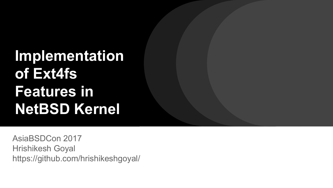**Implementation of Ext4fs Features in NetBSD Kernel**

AsiaBSDCon 2017 Hrishikesh Goyal https://github.com/hrishikeshgoyal/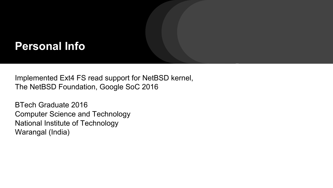#### **Personal Info**

Implemented Ext4 FS read support for NetBSD kernel, The NetBSD Foundation, Google SoC 2016

BTech Graduate 2016 Computer Science and Technology National Institute of Technology Warangal (India)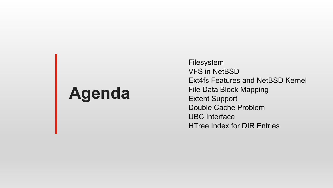#### **Agenda**

Filesystem VFS in NetBSD Ext4fs Features and NetBSD Kernel File Data Block Mapping Extent Support Double Cache Problem UBC Interface HTree Index for DIR Entries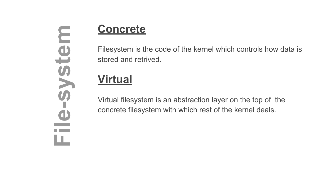# **File-system**

#### **Concrete**

Filesystem is the code of the kernel which controls how data is stored and retrived.

#### **Virtual**

Virtual filesystem is an abstraction layer on the top of the concrete filesystem with which rest of the kernel deals.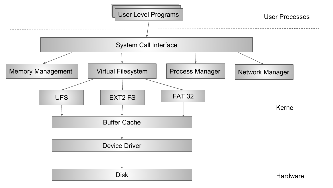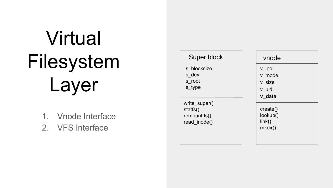# Virtual Filesystem Layer

- 1. Vnode Interface
- 2. VFS Interface

| Super block                                               | vnode                                           |
|-----------------------------------------------------------|-------------------------------------------------|
| s blocksize<br>s_dev<br>s root<br>s_type                  | v ino<br>v mode<br>v_size<br>v uid<br>v_data    |
| write super()<br>statfs()<br>remount fs()<br>read inode() | create()<br>lookup()<br>link()<br>$m$ kdir $()$ |

| vnode                                        |  |
|----------------------------------------------|--|
| v ino<br>v mode<br>v size<br>v_uid<br>v_data |  |
| create()<br>lookup()<br>link()<br>mkdir()    |  |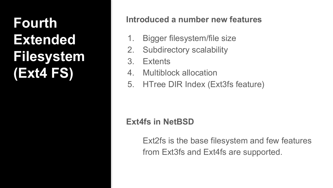**Fourth Extended Filesystem (Ext4 FS)**

#### **Introduced a number new features**

- 1. Bigger filesystem/file size
- 2. Subdirectory scalability
- 3. Extents
- 4. Multiblock allocation
- 5. HTree DIR Index (Ext3fs feature)

#### **Ext4fs in NetBSD**

Ext2fs is the base filesystem and few features from Ext3fs and Ext4fs are supported.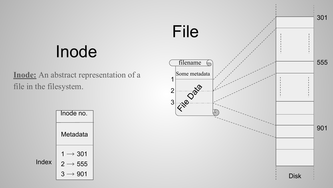### Inode

**Inode:** An abstract representation of a file in the filesystem.

|       | Inode no.           |  |
|-------|---------------------|--|
|       | Metadata            |  |
| Index | $1 \rightarrow 301$ |  |
|       | $2 \rightarrow 555$ |  |
|       | $3 \rightarrow 901$ |  |

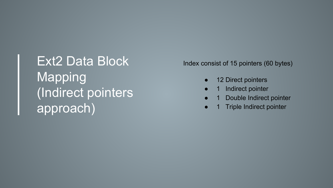Ext2 Data Block Mapping (Indirect pointers approach)

Index consist of 15 pointers (60 bytes)

- 12 Direct pointers
- Indirect pointer
- Double Indirect pointer
- **Triple Indirect pointer**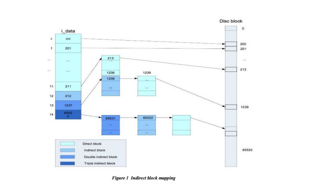

**Figure 1 Indirect block mapping**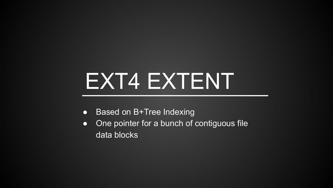# EXT4 EXTENT

- Based on B+Tree Indexing
- One pointer for a bunch of contiguous file data blocks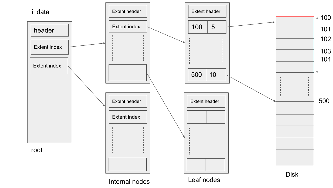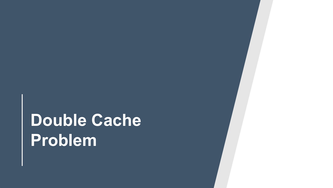## **Double Cache Problem**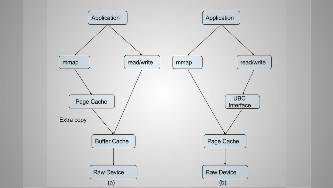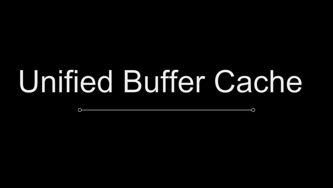# **Unified Buffer Cache**

 $\Omega$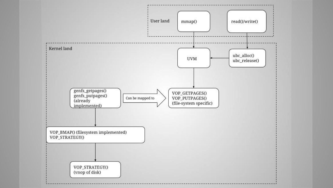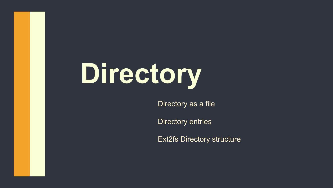# **Directory**

Directory as a file

Directory entries

Ext2fs Directory structure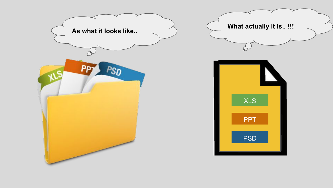

**What actually it is.. !!!**

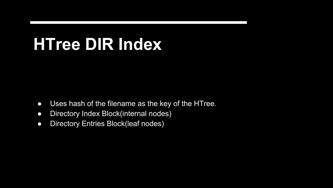#### **HTree DIR Index**

- Uses hash of the filename as the key of the HTree.
- Directory Index Block(internal nodes)
- Directory Entries Block(leaf nodes)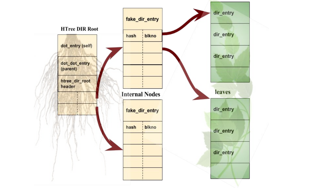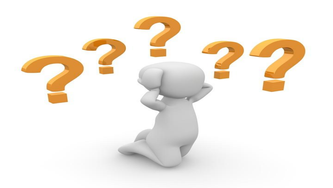